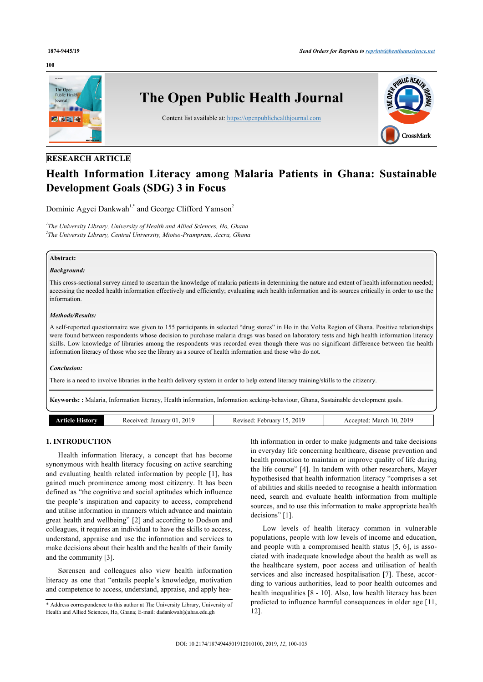#### **100**



# **RESEARCH ARTICLE**

# **Health Information Literacy among Malaria Patients in Ghana: Sustainable Development Goals (SDG) 3 in Focus**

Dominic Agyei Dankwah<sup>[1](#page-0-0),[\\*](#page-0-1)</sup> and George Clifford Yamson<sup>[2](#page-0-2)</sup>

<span id="page-0-2"></span><span id="page-0-0"></span>*1 The University Library, University of Health and Allied Sciences, Ho, Ghana 2 The University Library, Central University, Miotso-Prampram, Accra, Ghana*

#### **Abstract:**

#### *Background:*

This cross-sectional survey aimed to ascertain the knowledge of malaria patients in determining the nature and extent of health information needed; accessing the needed health information effectively and efficiently; evaluating such health information and its sources critically in order to use the information.

#### *Methods/Results:*

A self-reported questionnaire was given to 155 participants in selected "drug stores" in Ho in the Volta Region of Ghana. Positive relationships were found between respondents whose decision to purchase malaria drugs was based on laboratory tests and high health information literacy skills. Low knowledge of libraries among the respondents was recorded even though there was no significant difference between the health information literacy of those who see the library as a source of health information and those who do not.

#### *Conclusion:*

There is a need to involve libraries in the health delivery system in order to help extend literacy training/skills to the citizenry.

**Keywords: :** Malaria, Information literacy, Health information, Information seeking-behaviour, Ghana, Sustainable development goals.

| .rncle History | 2019<br>Received:<br>January 01. | 2019<br>February<br>Revised:<br><b>I</b> J | 2019<br>10.<br>Accepted:<br>March |
|----------------|----------------------------------|--------------------------------------------|-----------------------------------|

# **1. INTRODUCTION**

Health information literacy, a concept that has become synonymous with health literacy focusing on active searching and evaluating health related information by people [[1](#page-4-0)], has gained much prominence among most citizenry. It has been defined as "the cognitive and social aptitudes which influence the people's inspiration and capacity to access, comprehend and utilise information in manners which advance and maintain great health and wellbeing" [[2](#page-4-1)] and according to Dodson and colleagues, it requires an individual to have the skills to access, understand, appraise and use the information and services to make decisions about their health and the health of their family and the community [\[3\]](#page-4-2).

Sørensen and colleagues also view health information literacy as one that "entails people's knowledge, motivation and competence to access, understand, appraise, and apply hea-

lth information in order to make judgments and take decisions in everyday life concerning healthcare, disease prevention and health promotion to maintain or improve quality of life during the life course" [[4](#page-4-3)]. In tandem with other researchers, Mayer hypothesised that health information literacy "comprises a set of abilities and skills needed to recognise a health information need, search and evaluate health information from multiple sources, and to use this information to make appropriate health decisions" [[1](#page-4-0)].

Low levels of health literacy common in vulnerable populations, people with low levels of income and education, and people with a compromised health status [[5](#page-4-4), [6\]](#page-4-5), is associated with inadequate knowledge about the health as well as the healthcare system, poor access and utilisation of health services and also increased hospitalisation [[7](#page-4-6)]. These, according to various authorities, lead to poor health outcomes and health inequalities [\[8](#page-4-7) - [10](#page-4-8)]. Also, low health literacy has been predicted to influence harmful consequences in older age [\[11](#page-4-9), [12\]](#page-4-10).

<span id="page-0-1"></span><sup>\*</sup> Address correspondence to this author at The University Library, University of Health and Allied Sciences, Ho, Ghana; E-mail: [dadankwah@uhas.edu.gh](mailto:dadankwah@uhas.edu.gh)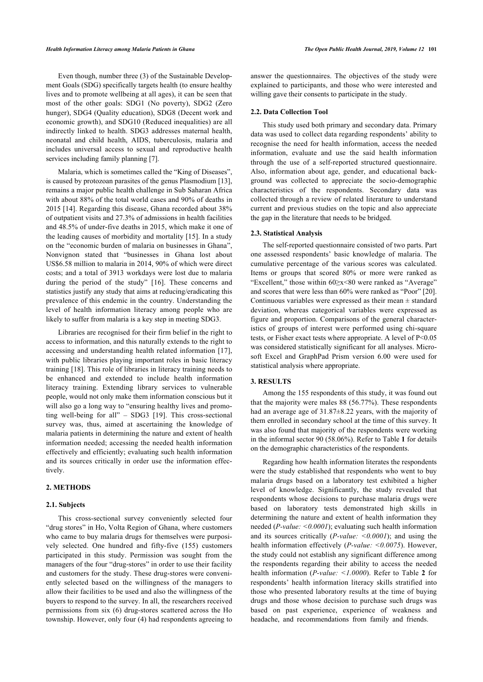Even though, number three (3) of the Sustainable Development Goals (SDG) specifically targets health (to ensure healthy lives and to promote wellbeing at all ages), it can be seen that most of the other goals: SDG1 (No poverty), SDG2 (Zero hunger), SDG4 (Quality education), SDG8 (Decent work and economic growth), and SDG10 (Reduced inequalities) are all indirectly linked to health. SDG3 addresses maternal health, neonatal and child health, AIDS, tuberculosis, malaria and includes universal access to sexual and reproductive health services including family planning [[7](#page-4-6)].

Malaria, which is sometimes called the "King of Diseases", is caused by protozoan parasites of the genus Plasmodium [[13](#page-4-11)], remains a major public health challenge in Sub Saharan Africa with about 88% of the total world cases and 90% of deaths in 2015 [[14\]](#page-4-12). Regarding this disease, Ghana recorded about 38% of outpatient visits and 27.3% of admissions in health facilities and 48.5% of under-five deaths in 2015, which make it one of the leading causes of morbidity and mortality [[15](#page-4-13)]. In a study on the "economic burden of malaria on businesses in Ghana", Nonvignon stated that "businesses in Ghana lost about US\$6.58 million to malaria in 2014, 90% of which were direct costs; and a total of 3913 workdays were lost due to malaria during the period of the study"[[16\]](#page-4-14). These concerns and statistics justify any study that aims at reducing/eradicating this prevalence of this endemic in the country. Understanding the level of health information literacy among people who are likely to suffer from malaria is a key step in meeting SDG3.

Libraries are recognised for their firm belief in the right to access to information, and this naturally extends to the right to accessing and understanding health related information [[17\]](#page-4-15), with public libraries playing important roles in basic literacy training [[18\]](#page-4-16). This role of libraries in literacy training needs to be enhanced and extended to include health information literacy training. Extending library services to vulnerable people, would not only make them information conscious but it will also go a long way to "ensuring healthy lives and promoting well-being for all" – SDG3[[19\]](#page-4-17). This cross-sectional survey was, thus, aimed at ascertaining the knowledge of malaria patients in determining the nature and extent of health information needed; accessing the needed health information effectively and efficiently; evaluating such health information and its sources critically in order use the information effectively.

### **2. METHODS**

#### **2.1. Subjects**

This cross-sectional survey conveniently selected four "drug stores" in Ho, Volta Region of Ghana, where customers who came to buy malaria drugs for themselves were purposively selected. One hundred and fifty-five (155) customers participated in this study. Permission was sought from the managers of the four "drug-stores" in order to use their facility and customers for the study. These drug-stores were conveniently selected based on the willingness of the managers to allow their facilities to be used and also the willingness of the buyers to respond to the survey. In all, the researchers received permissions from six (6) drug-stores scattered across the Ho township. However, only four (4) had respondents agreeing to answer the questionnaires. The objectives of the study were explained to participants, and those who were interested and willing gave their consents to participate in the study.

#### **2.2. Data Collection Tool**

This study used both primary and secondary data. Primary data was used to collect data regarding respondents' ability to recognise the need for health information, access the needed information, evaluate and use the said health information through the use of a self-reported structured questionnaire. Also, information about age, gender, and educational background was collected to appreciate the socio-demographic characteristics of the respondents. Secondary data was collected through a review of related literature to understand current and previous studies on the topic and also appreciate the gap in the literature that needs to be bridged.

#### **2.3. Statistical Analysis**

The self-reported questionnaire consisted of two parts. Part one assessed respondents' basic knowledge of malaria. The cumulative percentage of the various scores was calculated. Items or groups that scored 80% or more were ranked as "Excellent," those within 60≥x<80 were ranked as "Average" and scores that were less than 60% were ranked as "Poor" [\[20](#page-4-18)]. Continuous variables were expressed as their mean  $\pm$  standard deviation, whereas categorical variables were expressed as figure and proportion. Comparisons of the general characteristics of groups of interest were performed using chi-square tests, or Fisher exact tests where appropriate. A level of P<0.05 was considered statistically significant for all analyses. Microsoft Excel and GraphPad Prism version 6.00 were used for statistical analysis where appropriate.

#### **3. RESULTS**

Among the 155 respondents of this study, it was found out that the majority were males 88 (56.77%). These respondents had an average age of  $31.87 \pm 8.22$  years, with the majority of them enrolled in secondary school at the time of this survey. It was also found that majority of the respondents were working in the informal sector 90 (58.06%). Refer to Table **[1](#page-2-0)** for details on the demographic characteristics of the respondents.

Regarding how health information literates the respondents were the study established that respondents who went to buy malaria drugs based on a laboratory test exhibited a higher level of knowledge. Significantly, the study revealed that respondents whose decisions to purchase malaria drugs were based on laboratory tests demonstrated high skills in determining the nature and extent of health information they needed (*P-value: <0.0001*); evaluating such health information and its sources critically (*P-value: <0.0001*); and using the health information effectively (*P-value: <0.0075*). However, the study could not establish any significant difference among the respondents regarding their ability to access the needed health information (*P-value: <1.0000*). Refer to Table **[2](#page-2-1)** for respondents' health information literacy skills stratified into those who presented laboratory results at the time of buying drugs and those whose decision to purchase such drugs was based on past experience, experience of weakness and headache, and recommendations from family and friends.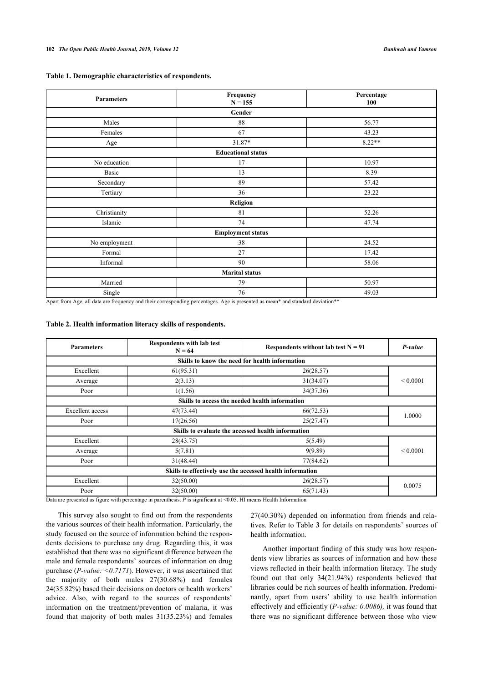<span id="page-2-0"></span>

| Table 1. Demographic characteristics of respondents. |  |  |  |  |  |  |  |  |  |  |  |  |
|------------------------------------------------------|--|--|--|--|--|--|--|--|--|--|--|--|
|------------------------------------------------------|--|--|--|--|--|--|--|--|--|--|--|--|

| <b>Parameters</b>        | Frequency<br>$N = 155$    | Percentage<br>100 |  |  |  |  |  |
|--------------------------|---------------------------|-------------------|--|--|--|--|--|
|                          | Gender                    |                   |  |  |  |  |  |
| Males                    | 88                        | 56.77             |  |  |  |  |  |
| Females                  | 67                        | 43.23             |  |  |  |  |  |
| Age                      | 31.87*                    | $8.22**$          |  |  |  |  |  |
|                          | <b>Educational status</b> |                   |  |  |  |  |  |
| No education             | 17                        | 10.97             |  |  |  |  |  |
| Basic                    | 13                        | 8.39              |  |  |  |  |  |
| Secondary                | 89                        | 57.42             |  |  |  |  |  |
| Tertiary                 | 36                        | 23.22             |  |  |  |  |  |
| Religion                 |                           |                   |  |  |  |  |  |
| Christianity             | 81                        | 52.26             |  |  |  |  |  |
| Islamic                  | 74                        | 47.74             |  |  |  |  |  |
| <b>Employment status</b> |                           |                   |  |  |  |  |  |
| No employment            | 38                        | 24.52             |  |  |  |  |  |
| Formal                   | 27                        | 17.42             |  |  |  |  |  |
| Informal                 | 90                        | 58.06             |  |  |  |  |  |
| <b>Marital status</b>    |                           |                   |  |  |  |  |  |
| Married                  | 79                        | 50.97             |  |  |  |  |  |
| Single                   | 76                        | 49.03             |  |  |  |  |  |

Apart from Age, all data are frequency and their corresponding percentages. Age is presented as mean\* and standard deviation\*\*

#### <span id="page-2-1"></span>**Table 2. Health information literacy skills of respondents.**

| <b>Parameters</b>                                         | <b>Respondents with lab test</b><br>$N = 64$   | Respondents without lab test $N = 91$ | P-value       |  |  |  |
|-----------------------------------------------------------|------------------------------------------------|---------------------------------------|---------------|--|--|--|
|                                                           | Skills to know the need for health information |                                       |               |  |  |  |
| Excellent                                                 | 61(95.31)                                      | 26(28.57)                             |               |  |  |  |
| Average                                                   | 2(3.13)                                        | 31(34.07)                             | ${}_{0.0001}$ |  |  |  |
| Poor                                                      | 1(1.56)                                        | 34(37.36)                             |               |  |  |  |
| Skills to access the needed health information            |                                                |                                       |               |  |  |  |
| <b>Excellent</b> access                                   | 47(73.44)                                      | 66(72.53)                             | 1.0000        |  |  |  |
| Poor                                                      | 17(26.56)                                      | 25(27.47)                             |               |  |  |  |
| Skills to evaluate the accessed health information        |                                                |                                       |               |  |  |  |
| Excellent                                                 | 28(43.75)                                      | 5(5.49)                               |               |  |  |  |
| 5(7.81)<br>Average                                        |                                                | 9(9.89)                               | ${}_{0.0001}$ |  |  |  |
| Poor                                                      | 31(48.44)                                      | 77(84.62)                             |               |  |  |  |
| Skills to effectively use the accessed health information |                                                |                                       |               |  |  |  |
| Excellent                                                 | 32(50.00)                                      | 26(28.57)                             |               |  |  |  |
| Poor                                                      | 32(50.00)                                      | 65(71.43)                             | 0.0075        |  |  |  |

Data are presented as figure with percentage in parenthesis. *P* is significant at <0.05. HI means Health Information

This survey also sought to find out from the respondents the various sources of their health information. Particularly, the study focused on the source of information behind the respondents decisions to purchase any drug. Regarding this, it was established that there was no significant difference between the male and female respondents' sources of information on drug purchase (*P-value: <0.7171*). However, it was ascertained that the majority of both males 27(30.68%) and females 24(35.82%) based their decisions on doctors or health workers' advice. Also, with regard to the sources of respondents' information on the treatment/prevention of malaria, it was found that majority of both males 31(35.23%) and females

27(40.30%) depended on information from friends and relatives. Refer to Table **[3](#page-3-0)** for details on respondents' sources of health information.

Another important finding of this study was how respondents view libraries as sources of information and how these views reflected in their health information literacy. The study found out that only 34(21.94%) respondents believed that libraries could be rich sources of health information. Predominantly, apart from users' ability to use health information effectively and efficiently (*P-value: 0.0086),* it was found that there was no significant difference between those who view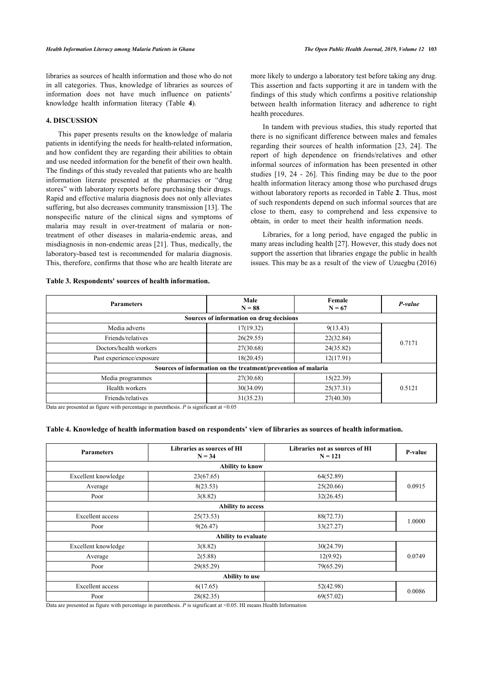libraries as sources of health information and those who do not in all categories. Thus, knowledge of libraries as sources of information does not have much influence on patients' knowledge health information literacy (Table**4**).

# **4. DISCUSSION**

This paper presents results on the knowledge of malaria patients in identifying the needs for health-related information, and how confident they are regarding their abilities to obtain and use needed information for the benefit of their own health. The findings of this study revealed that patients who are health information literate presented at the pharmacies or "drug stores" with laboratory reports before purchasing their drugs. Rapid and effective malaria diagnosis does not only alleviates suffering, but also decreases community transmission [[13\]](#page-4-11). The nonspecific nature of the clinical signs and symptoms of malaria may result in over-treatment of malaria or nontreatment of other diseases in malaria-endemic areas, and misdiagnosis in non-endemic areas [[21](#page-4-19)]. Thus, medically, the laboratory-based test is recommended for malaria diagnosis. This, therefore, confirms that those who are health literate are more likely to undergo a laboratory test before taking any drug. This assertion and facts supporting it are in tandem with the findings of this study which confirms a positive relationship between health information literacy and adherence to right health procedures.

In tandem with previous studies, this study reported that there is no significant difference between males and females regarding their sources of health information [\[23](#page-5-0), [24\]](#page-5-1). The report of high dependence on friends/relatives and other informal sources of information has been presented in other studies[[19,](#page-4-17) [24](#page-5-1) - [26](#page-5-0)]. This finding may be due to the poor health information literacy among those who purchased drugs without laboratory reports as recorded in Table **[2](#page-2-1)**. Thus, most of such respondents depend on such informal sources that are close to them, easy to comprehend and less expensive to obtain, in order to meet their health information needs.

Libraries, for a long period, have engaged the public in many areas including health [\[27](#page-5-2)]. However, this study does not support the assertion that libraries engage the public in health issues. This may be as a result of the view of Uzuegbu (2016)

#### <span id="page-3-0"></span>**Table 3. Respondents' sources of health information.**

| <b>Parameters</b>                                             | Male<br>$N = 88$                         | Female<br>$N = 67$ | P-value |  |  |  |  |
|---------------------------------------------------------------|------------------------------------------|--------------------|---------|--|--|--|--|
|                                                               | Sources of information on drug decisions |                    |         |  |  |  |  |
| Media adverts                                                 | 17(19.32)                                | 9(13.43)           |         |  |  |  |  |
| Friends/relatives                                             | 26(29.55)                                | 22(32.84)          | 0.7171  |  |  |  |  |
| Doctors/health workers                                        | 27(30.68)                                | 24(35.82)          |         |  |  |  |  |
| Past experience/exposure                                      | 18(20.45)                                | 12(17.91)          |         |  |  |  |  |
| Sources of information on the treatment/prevention of malaria |                                          |                    |         |  |  |  |  |
| Media programmes                                              | 27(30.68)                                | 15(22.39)          |         |  |  |  |  |
| Health workers                                                | 30(34.09)                                | 25(37.31)          | 0.5121  |  |  |  |  |
| Friends/relatives                                             | 31(35.23)                                | 27(40.30)          |         |  |  |  |  |

Data are presented as figure with percentage in parenthesis.  $P$  is significant at  $\leq 0.05$ 

#### <span id="page-3-1"></span>**Table 4. Knowledge of health information based on respondents' view of libraries as sources of health information.**

| <b>Parameters</b>       | Libraries as sources of HI<br>$N = 34$ | Libraries not as sources of HI<br>$N = 121$ | P-value |  |  |  |  |
|-------------------------|----------------------------------------|---------------------------------------------|---------|--|--|--|--|
|                         | <b>Ability to know</b>                 |                                             |         |  |  |  |  |
| Excellent knowledge     | 23(67.65)                              | 64(52.89)                                   |         |  |  |  |  |
| Average                 | 8(23.53)                               | 25(20.66)                                   | 0.0915  |  |  |  |  |
| Poor                    | 3(8.82)                                | 32(26.45)                                   |         |  |  |  |  |
|                         | <b>Ability to access</b>               |                                             |         |  |  |  |  |
| <b>Excellent</b> access | 25(73.53)                              | 88(72.73)                                   |         |  |  |  |  |
| Poor                    | 9(26.47)                               | 33(27.27)                                   | 1.0000  |  |  |  |  |
| Ability to evaluate     |                                        |                                             |         |  |  |  |  |
| Excellent knowledge     | 3(8.82)                                | 30(24.79)                                   |         |  |  |  |  |
| Average                 | 2(5.88)                                | 12(9.92)                                    | 0.0749  |  |  |  |  |
| Poor                    | 29(85.29)                              | 79(65.29)                                   |         |  |  |  |  |
|                         | Ability to use                         |                                             |         |  |  |  |  |
| <b>Excellent</b> access | 6(17.65)                               | 52(42.98)                                   |         |  |  |  |  |
| Poor                    | 28(82.35)                              | 69(57.02)                                   | 0.0086  |  |  |  |  |

Data are presented as figure with percentage in parenthesis. *P* is significant at <0.05. HI means Health Information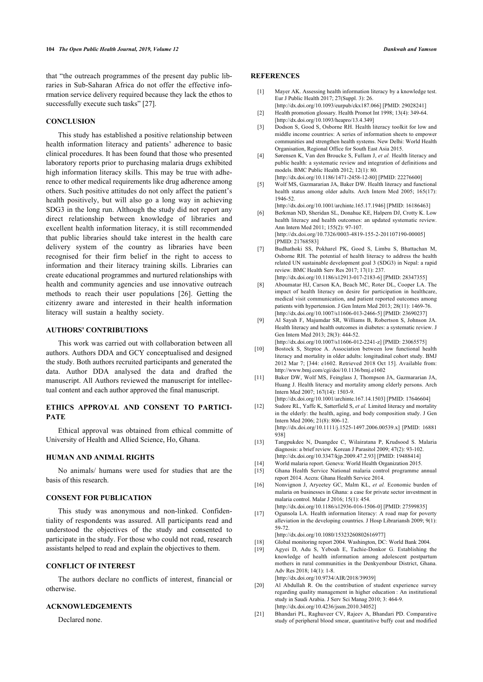<span id="page-4-0"></span>that "the outreach programmes of the present day public libraries in Sub-Saharan Africa do not offer the effective information service delivery required because they lack the ethos to successfully execute such tasks" [[27\]](#page-5-2).

# <span id="page-4-2"></span><span id="page-4-1"></span>**CONCLUSION**

<span id="page-4-5"></span><span id="page-4-4"></span><span id="page-4-3"></span>This study has established a positive relationship between health information literacy and patients' adherence to basic clinical procedures. It has been found that those who presented laboratory reports prior to purchasing malaria drugs exhibited high information literacy skills. This may be true with adherence to other medical requirements like drug adherence among others. Such positive attitudes do not only affect the patient's health positively, but will also go a long way in achieving SDG3 in the long run. Although the study did not report any direct relationship between knowledge of libraries and excellent health information literacy, it is still recommended that public libraries should take interest in the health care delivery system of the country as libraries have been recognised for their firm belief in the right to access to information and their literacy training skills. Libraries can create educational programmes and nurtured relationships with health and community agencies and use innovative outreach methods to reach their user populations[[26](#page-5-0)]. Getting the citizenry aware and interested in their health information literacy will sustain a healthy society.

#### <span id="page-4-7"></span><span id="page-4-6"></span>**AUTHORS' CONTRIBUTIONS**

<span id="page-4-8"></span>This work was carried out with collaboration between all authors. Authors DDA and GCY conceptualised and designed the study. Both authors recruited participants and generated the data. Author DDA analysed the data and drafted the manuscript. All Authors reviewed the manuscript for intellectual content and each author approved the final manuscript.

# <span id="page-4-10"></span><span id="page-4-9"></span>**ETHICS APPROVAL AND CONSENT TO PARTICI-PATE**

<span id="page-4-11"></span>Ethical approval was obtained from ethical committe of University of Health and Allied Science, Ho, Ghana.

### **HUMAN AND ANIMAL RIGHTS**

<span id="page-4-14"></span><span id="page-4-13"></span><span id="page-4-12"></span>No animals/ humans were used for studies that are the basis of this research.

#### **CONSENT FOR PUBLICATION**

<span id="page-4-15"></span>This study was anonymous and non-linked. Confidentiality of respondents was assured. All participants read and understood the objectives of the study and consented to participate in the study. For those who could not read, research assistants helped to read and explain the objectives to them.

## <span id="page-4-17"></span><span id="page-4-16"></span>**CONFLICT OF INTEREST**

<span id="page-4-18"></span>The authors declare no conflicts of interest, financial or otherwise.

#### <span id="page-4-19"></span>**ACKNOWLEDGEMENTS**

Declared none.

### **REFERENCES**

- [1] Mayer AK. Assessing health information literacy by a knowledge test. Eur J Public Health 2017; 27(Suppl. 3): 26.
- [\[http://dx.doi.org/10.1093/eurpub/ckx187.066\]](http://dx.doi.org/10.1093/eurpub/ckx187.066) [PMID: [29028241](http://www.ncbi.nlm.nih.gov/pubmed/29028241)] [2] Health promotion glossary. Health Promot Int 1998; 13(4): 349-64.
- [\[http://dx.doi.org/10.1093/heapro/13.4.349\]](http://dx.doi.org/10.1093/heapro/13.4.349)
- [3] Dodson S, Good S, Osborne RH. Health literacy toolkit for low and middle income countries: A series of information sheets to empower communities and strengthen health systems. New Delhi: World Health Organisation, Regional Office for South East Asia 2015.
- [4] Sørensen K, Van den Broucke S, Fullam J, *et al.* Health literacy and public health: a systematic review and integration of definitions and models. BMC Public Health 2012; 12(1): 80. [\[http://dx.doi.org/10.1186/1471-2458-12-80](http://dx.doi.org/10.1186/1471-2458-12-80)] [PMID: [22276600](http://www.ncbi.nlm.nih.gov/pubmed/22276600)]
- [5] Wolf MS, Gazmararian JA, Baker DW. Health literacy and functional health status among older adults. Arch Intern Med 2005; 165(17): 1946-52.

[\[http://dx.doi.org/10.1001/archinte.165.17.1946\]](http://dx.doi.org/10.1001/archinte.165.17.1946) [PMID: [16186463](http://www.ncbi.nlm.nih.gov/pubmed/16186463)]

- [6] Berkman ND, Sheridan SL, Donahue KE, Halpern DJ, Crotty K. Low health literacy and health outcomes: an updated systematic review. Ann Intern Med 2011; 155(2): 97-107. [\[http://dx.doi.org/10.7326/0003-4819-155-2-201107190-00005\]](http://dx.doi.org/10.7326/0003-4819-155-2-201107190-00005) [PMID: [21768583\]](http://www.ncbi.nlm.nih.gov/pubmed/21768583)
- [7] Budhathoki SS, Pokharel PK, Good S, Limbu S, Bhattachan M, Osborne RH. The potential of health literacy to address the health related UN sustainable development goal 3 (SDG3) in Nepal: a rapid review. BMC Health Serv Res 2017; 17(1): 237. [\[http://dx.doi.org/10.1186/s12913-017-2183-6\]](http://dx.doi.org/10.1186/s12913-017-2183-6) [PMID: [28347355](http://www.ncbi.nlm.nih.gov/pubmed/28347355)]
- [8] Aboumatar HJ, Carson KA, Beach MC, Roter DL, Cooper LA. The impact of health literacy on desire for participation in healthcare, medical visit communication, and patient reported outcomes among patients with hypertension. J Gen Intern Med 2013; 28(11): 1469-76. [\[http://dx.doi.org/10.1007/s11606-013-2466-5\]](http://dx.doi.org/10.1007/s11606-013-2466-5) [PMID: [23690237](http://www.ncbi.nlm.nih.gov/pubmed/23690237)]
- [9] Al Sayah F, Majumdar SR, Williams B, Robertson S, Johnson JA. Health literacy and health outcomes in diabetes: a systematic review. J Gen Intern Med 2013; 28(3): 444-52. [\[http://dx.doi.org/10.1007/s11606-012-2241-z](http://dx.doi.org/10.1007/s11606-012-2241-z)] [PMID: [23065575\]](http://www.ncbi.nlm.nih.gov/pubmed/23065575)
- [10] Bostock S, Steptoe A. Association between low functional health literacy and mortality in older adults: longitudinal cohort study. BMJ 2012 Mar 7; [344: e1602. Retrieved 2018 Oct 15]. Available from: <http://www.bmj.com/cgi/doi/10.1136/bmj.e1602>
- [11] Baker DW, Wolf MS, Feinglass J, Thompson JA, Gazmararian JA, Huang J. Health literacy and mortality among elderly persons. Arch Intern Med 2007; 167(14): 1503-9. [\[http://dx.doi.org/10.1001/archinte.167.14.1503\]](http://dx.doi.org/10.1001/archinte.167.14.1503) [PMID: [17646604](http://www.ncbi.nlm.nih.gov/pubmed/17646604)]
- [12] Sudore RL, Yaffe K, Satterfield S, *et al.* Limited literacy and mortality in the elderly: the health, aging, and body composition study. J Gen Intern Med 2006; 21(8): 806-12. [\[http://dx.doi.org/10.1111/j.1525-1497.2006.00539.x\]](http://dx.doi.org/10.1111/j.1525-1497.2006.00539.x) [PMID: [16881](http://www.ncbi.nlm.nih.gov/pubmed/16881%20938) [938](http://www.ncbi.nlm.nih.gov/pubmed/16881%20938)]
- [13] Tangpukdee N, Duangdee C, Wilairatana P, Krudsood S. Malaria diagnosis: a brief review. Korean J Parasitol 2009; 47(2): 93-102. [\[http://dx.doi.org/10.3347/kjp.2009.47.2.93\]](http://dx.doi.org/10.3347/kjp.2009.47.2.93) [PMID: [19488414\]](http://www.ncbi.nlm.nih.gov/pubmed/19488414)
- [14] World malaria report. Geneva: World Health Organization 2015.
- [15] Ghana Health Service National malaria control programme annual report 2014. Accra: Ghana Health Service 2014.
- [16] Nonvignon J, Aryeetey GC, Malm KL, *et al.* Economic burden of malaria on businesses in Ghana: a case for private sector investment in malaria control. Malar J 2016; 15(1): 454. [\[http://dx.doi.org/10.1186/s12936-016-1506-0\]](http://dx.doi.org/10.1186/s12936-016-1506-0) [PMID: [27599835](http://www.ncbi.nlm.nih.gov/pubmed/27599835)]
- [17] Ogunsola LA. Health information literacy: A road map for poverty alleviation in the developing countries. J Hosp Librariansh 2009; 9(1): 59-72. [\[http://dx.doi.org/10.1080/15323260802616977\]](http://dx.doi.org/10.1080/15323260802616977)
- [18] Global monitoring report 2004. Washington, DC: World Bank 2004.
- [19] Agyei D, Adu S, Yeboah E, Tachie-Donkor G. Establishing the knowledge of health information among adolescent postpartum mothers in rural communities in the Denkyembour District, Ghana. Adv Res 2018; 14(1): 1-8. [\[http://dx.doi.org/10.9734/AIR/2018/39939\]](http://dx.doi.org/10.9734/AIR/2018/39939)
- [20] Al Abdullah R. On the contribution of student experience survey regarding quality management in higher education : An institutional study in Saudi Arabia. J Serv Sci Manag 2010; 3: 464-9. [\[http://dx.doi.org/10.4236/jssm.2010.34052](http://dx.doi.org/10.4236/jssm.2010.34052)]
- [21] Bhandari PL, Raghuveer CV, Rajeev A, Bhandari PD. Comparative study of peripheral blood smear, quantitative buffy coat and modified